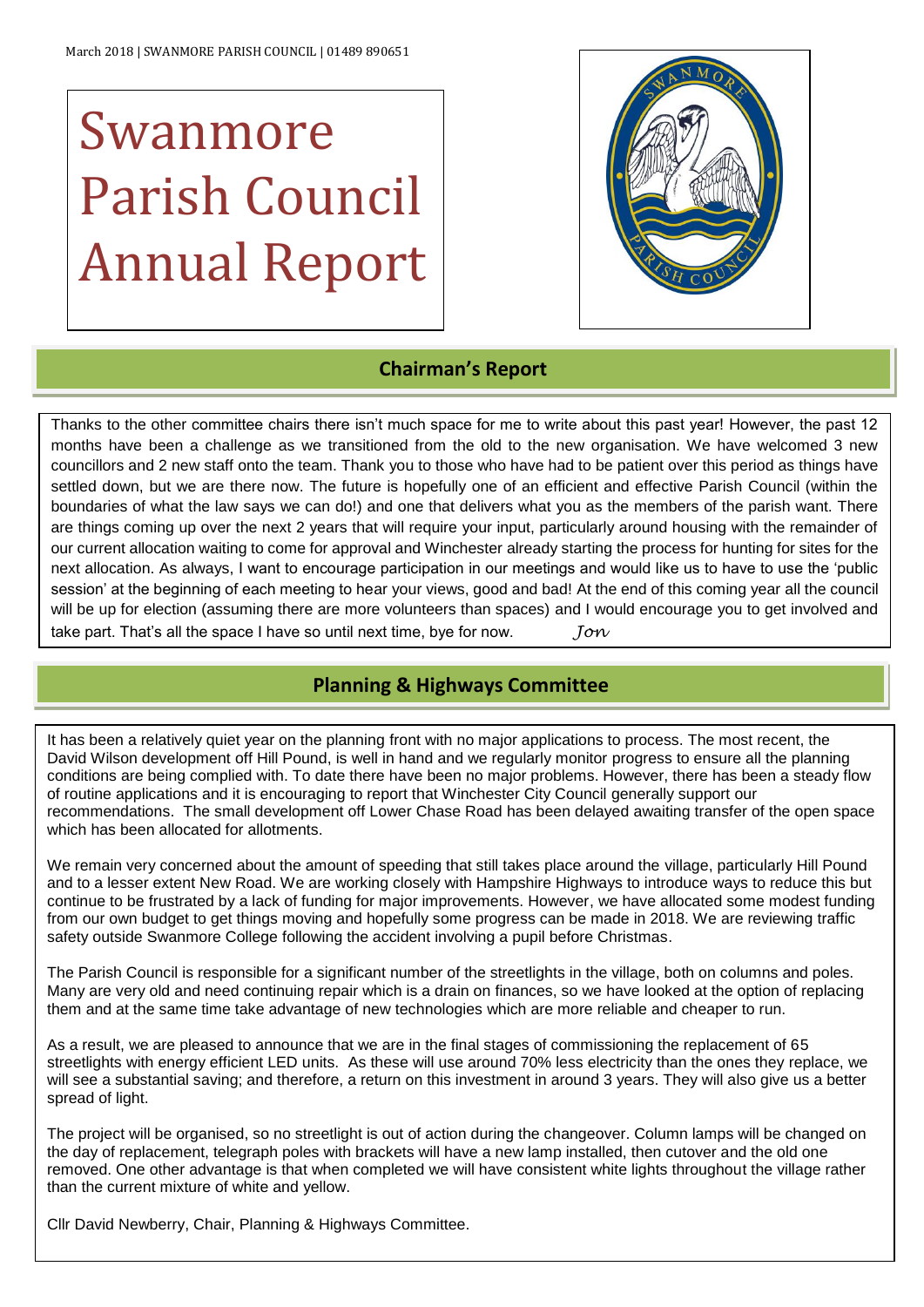# Swanmore Parish Council Annual Report



# **Chairman's Report**

Thanks to the other committee chairs there isn't much space for me to write about this past year! However, the past 12 months have been a challenge as we transitioned from the old to the new organisation. We have welcomed 3 new councillors and 2 new staff onto the team. Thank you to those who have had to be patient over this period as things have settled down, but we are there now. The future is hopefully one of an efficient and effective Parish Council (within the boundaries of what the law says we can do!) and one that delivers what you as the members of the parish want. There are things coming up over the next 2 years that will require your input, particularly around housing with the remainder of our current allocation waiting to come for approval and Winchester already starting the process for hunting for sites for the next allocation. As always, I want to encourage participation in our meetings and would like us to have to use the 'public session' at the beginning of each meeting to hear your views, good and bad! At the end of this coming year all the council will be up for election (assuming there are more volunteers than spaces) and I would encourage you to get involved and take part. That's all the space I have so until next time, bye for now. *Jon*

# **Planning & Highways Committee**

It has been a relatively quiet year on the planning front with no major applications to process. The most recent, the David Wilson development off Hill Pound, is well in hand and we regularly monitor progress to ensure all the planning conditions are being complied with. To date there have been no major problems. However, there has been a steady flow of routine applications and it is encouraging to report that Winchester City Council generally support our recommendations. The small development off Lower Chase Road has been delayed awaiting transfer of the open space which has been allocated for allotments.

We remain very concerned about the amount of speeding that still takes place around the village, particularly Hill Pound and to a lesser extent New Road. We are working closely with Hampshire Highways to introduce ways to reduce this but continue to be frustrated by a lack of funding for major improvements. However, we have allocated some modest funding from our own budget to get things moving and hopefully some progress can be made in 2018. We are reviewing traffic safety outside Swanmore College following the accident involving a pupil before Christmas.

The Parish Council is responsible for a significant number of the streetlights in the village, both on columns and poles. Many are very old and need continuing repair which is a drain on finances, so we have looked at the option of replacing them and at the same time take advantage of new technologies which are more reliable and cheaper to run.

As a result, we are pleased to announce that we are in the final stages of commissioning the replacement of 65 streetlights with energy efficient LED units. As these will use around 70% less electricity than the ones they replace, we will see a substantial saving; and therefore, a return on this investment in around 3 years. They will also give us a better spread of light.

The project will be organised, so no streetlight is out of action during the changeover. Column lamps will be changed on the day of replacement, telegraph poles with brackets will have a new lamp installed, then cutover and the old one removed. One other advantage is that when completed we will have consistent white lights throughout the village rather than the current mixture of white and yellow.

Cllr David Newberry, Chair, Planning & Highways Committee.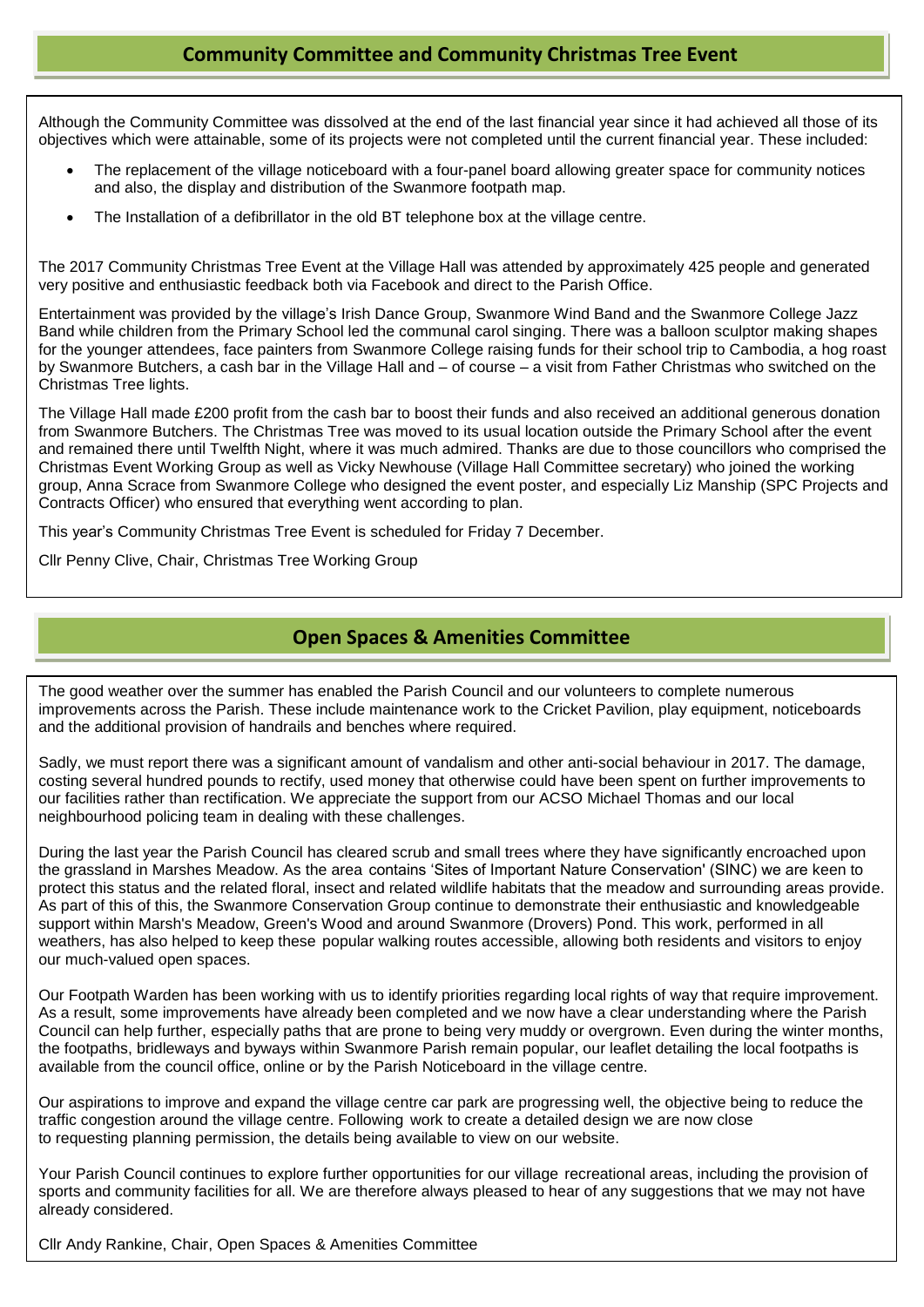# **Community Committee and Community Christmas Tree Event**

 objectives which were attainable, some of its projects were not completed until the current financial year. These included: Although the Community Committee was dissolved at the end of the last financial year since it had achieved all those of its

- $\blacksquare$ • The replacement of the village noticeboard with a four-panel board allowing greater space for community notices and also, the display and distribution of the Swanmore footpath map.
- $\ddot{\phantom{0}}$ • The Installation of a defibrillator in the old BT telephone box at the village centre.

The 2017 Community Christmas Tree Event at the Village Hall was attended by approximately 425 people and generated very positive and enthusiastic feedback both via Facebook and direct to the Parish Office.

 Band while children from the Primary School led the communal carol singing. There was a balloon sculptor making shapes by Swanmore Butchers, a cash bar in the Village Hall and – of course – a visit from Father Christmas who switched on the Entertainment was provided by the village's Irish Dance Group, Swanmore Wind Band and the Swanmore College Jazz for the younger attendees, face painters from Swanmore College raising funds for their school trip to Cambodia, a hog roast Christmas Tree lights.

 The Village Hall made £200 profit from the cash bar to boost their funds and also received an additional generous donation and remained there until Twelfth Night, where it was much admired. Thanks are due to those councillors who comprised the group, Anna Scrace from Swanmore College who designed the event poster, and especially Liz Manship (SPC Projects and from Swanmore Butchers. The Christmas Tree was moved to its usual location outside the Primary School after the event Christmas Event Working Group as well as Vicky Newhouse (Village Hall Committee secretary) who joined the working Contracts Officer) who ensured that everything went according to plan.

This year's Community Christmas Tree Event is scheduled for Friday 7 December.

Cllr Penny Clive, Chair, Christmas Tree Working Group

### **Open Spaces & Amenities Committee**

The good weather over the summer has enabled the Parish Council and our volunteers to complete numerous improvements across the Parish. These include maintenance work to the Cricket Pavilion, play equipment, noticeboards and the additional provision of handrails and benches where required.

Sadly, we must report there was a significant amount of vandalism and other anti-social behaviour in 2017. The damage, costing several hundred pounds to rectify, used money that otherwise could have been spent on further improvements to our facilities rather than rectification. We appreciate the support from our ACSO Michael Thomas and our local neighbourhood policing team in dealing with these challenges.

During the last year the Parish Council has cleared scrub and small trees where they have significantly encroached upon the grassland in Marshes Meadow. As the area contains 'Sites of Important Nature Conservation' (SINC) we are keen to protect this status and the related floral, insect and related wildlife habitats that the meadow and surrounding areas provide. As part of this of this, the Swanmore Conservation Group continue to demonstrate their enthusiastic and knowledgeable support within Marsh's Meadow, Green's Wood and around Swanmore (Drovers) Pond. This work, performed in all weathers, has also helped to keep these popular walking routes accessible, allowing both residents and visitors to enjoy our much-valued open spaces.

Our Footpath Warden has been working with us to identify priorities regarding local rights of way that require improvement. As a result, some improvements have already been completed and we now have a clear understanding where the Parish Council can help further, especially paths that are prone to being very muddy or overgrown. Even during the winter months, the footpaths, bridleways and byways within Swanmore Parish remain popular, our leaflet detailing the local footpaths is available from the council office, online or by the Parish Noticeboard in the village centre.

Our aspirations to improve and expand the village centre car park are progressing well, the objective being to reduce the traffic congestion around the village centre. Following work to create a detailed design we are now close to requesting planning permission, the details being available to view on our website.

Your Parish Council continues to explore further opportunities for our village recreational areas, including the provision of sports and community facilities for all. We are therefore always pleased to hear of any suggestions that we may not have already considered.

Cllr Andy Rankine, Chair, Open Spaces & Amenities Committee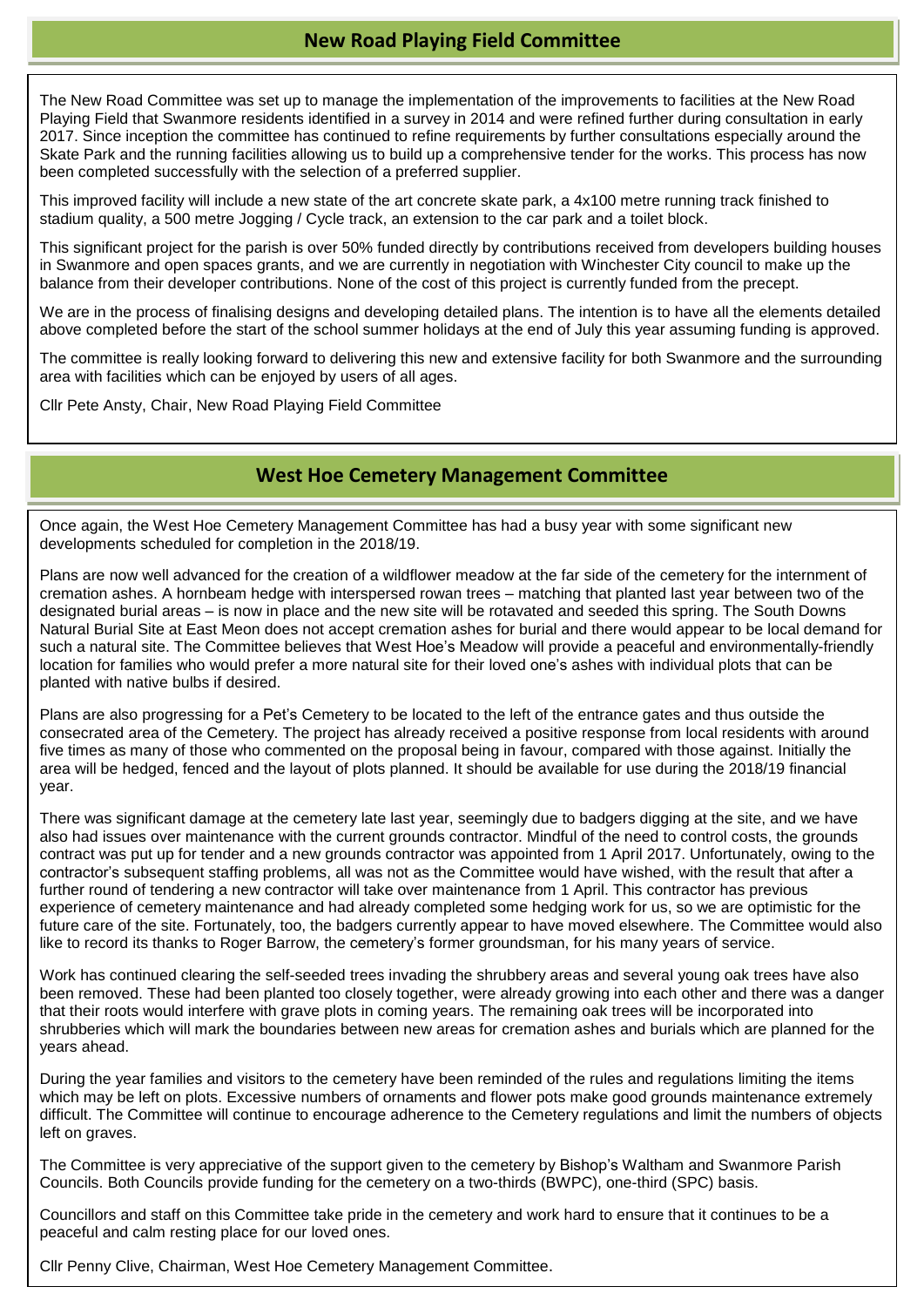# **New Road Playing Field Committee**

The New Road Committee was set up to manage the implementation of the improvements to facilities at the New Road Playing Field that Swanmore residents identified in a survey in 2014 and were refined further during consultation in early 2017. Since inception the committee has continued to refine requirements by further consultations especially around the Skate Park and the running facilities allowing us to build up a comprehensive tender for the works. This process has now been completed successfully with the selection of a preferred supplier.

This improved facility will include a new state of the art concrete skate park, a 4x100 metre running track finished to stadium quality, a 500 metre Jogging / Cycle track, an extension to the car park and a toilet block.

This significant project for the parish is over 50% funded directly by contributions received from developers building houses in Swanmore and open spaces grants, and we are currently in negotiation with Winchester City council to make up the balance from their developer contributions. None of the cost of this project is currently funded from the precept.

We are in the process of finalising designs and developing detailed plans. The intention is to have all the elements detailed above completed before the start of the school summer holidays at the end of July this year assuming funding is approved.

The committee is really looking forward to delivering this new and extensive facility for both Swanmore and the surrounding area with facilities which can be enjoyed by users of all ages.

Cllr Pete Ansty, Chair, New Road Playing Field Committee

# **West Hoe Cemetery Management Committee**

Once again, the West Hoe Cemetery Management Committee has had a busy year with some significant new developments scheduled for completion in the 2018/19.

Plans are now well advanced for the creation of a wildflower meadow at the far side of the cemetery for the internment of cremation ashes. A hornbeam hedge with interspersed rowan trees – matching that planted last year between two of the designated burial areas – is now in place and the new site will be rotavated and seeded this spring. The South Downs Natural Burial Site at East Meon does not accept cremation ashes for burial and there would appear to be local demand for such a natural site. The Committee believes that West Hoe's Meadow will provide a peaceful and environmentally-friendly location for families who would prefer a more natural site for their loved one's ashes with individual plots that can be planted with native bulbs if desired.

Plans are also progressing for a Pet's Cemetery to be located to the left of the entrance gates and thus outside the consecrated area of the Cemetery. The project has already received a positive response from local residents with around five times as many of those who commented on the proposal being in favour, compared with those against. Initially the area will be hedged, fenced and the layout of plots planned. It should be available for use during the 2018/19 financial year.

future care of the site. Fortunately, too, the badgers currently appear to have moved elsewhere. The Committee would also like to record its thanks to Roger Barrow, the cemetery's former groundsman, for his many years of service.<br> There was significant damage at the cemetery late last year, seemingly due to badgers digging at the site, and we have also had issues over maintenance with the current grounds contractor. Mindful of the need to control costs, the grounds contract was put up for tender and a new grounds contractor was appointed from 1 April 2017. Unfortunately, owing to the contractor's subsequent staffing problems, all was not as the Committee would have wished, with the result that after a further round of tendering a new contractor will take over maintenance from 1 April. This contractor has previous experience of cemetery maintenance and had already completed some hedging work for us, so we are optimistic for the

been removed. These had been planted too closely together, were already growing into each other and there was a danger aracturen roots would interfere with grave plots in coming years. The remaining oak trees will be incorporated into<br>shrubberies which will mark the boundaries between new areas for cremation ashes and burials which are pla **INCOME** years ahead. Work has continued clearing the self-seeded trees invading the shrubbery areas and several young oak trees have also that their roots would interfere with grave plots in coming years. The remaining oak trees will be incorporated into

During the year families and visitors to the cemetery have been reminded of the rules and regulations limiting the items Bank Interest Excessive numbers of ornaments and flower pots make good grounds maintenance extremely<br>which may be left on plots. Excessive numbers of ornaments and flower pots make good grounds maintenance extremely difficult. The Committee will continue to encourage adherence to the Cemetery regulations and limit the numbers of objects  $graves.$ left on graves.

The Committee is very appreciative of the support given to the cemetery by Bishop's Waltham and Swanmore Parish Councils. Both Councils provide funding for the cemetery on a two-thirds (BWPC), one-third (SPC) basis.

Councillors and staff on this Committee take pride in the cemetery and work hard to ensure that it continues to be a peaceful and calm resting place for our loved ones. **The analysis of the calculate ones** of the control of the control of the control of the control of the control of the control of the control of the control of the contro

Cllr Penny Clive, Chairman, West Hoe Cemetery Management Committee.